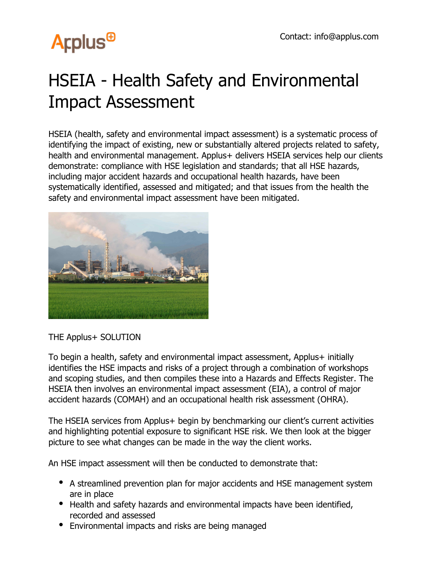## **Arplus<sup>®</sup>**

## HSEIA - Health Safety and Environmental Impact Assessment

HSEIA (health, safety and environmental impact assessment) is a systematic process of identifying the impact of existing, new or substantially altered projects related to safety, health and environmental management. Applus+ delivers HSEIA services help our clients demonstrate: compliance with HSE legislation and standards; that all HSE hazards, including major accident hazards and occupational health hazards, have been systematically identified, assessed and mitigated; and that issues from the health the safety and environmental impact assessment have been mitigated.



THE Applus+ SOLUTION

To begin a health, safety and environmental impact assessment, Applus+ initially identifies the HSE impacts and risks of a project through a combination of workshops and scoping studies, and then compiles these into a Hazards and Effects Register. The HSEIA then involves an environmental impact assessment (EIA), a control of major accident hazards (COMAH) and an occupational health risk assessment (OHRA).

The HSEIA services from Applus+ begin by benchmarking our client's current activities and highlighting potential exposure to significant HSE risk. We then look at the bigger picture to see what changes can be made in the way the client works.

An HSE impact assessment will then be conducted to demonstrate that:

- A streamlined prevention plan for major accidents and HSE management system are in place
- Health and safety hazards and environmental impacts have been identified, recorded and assessed
- Environmental impacts and risks are being managed